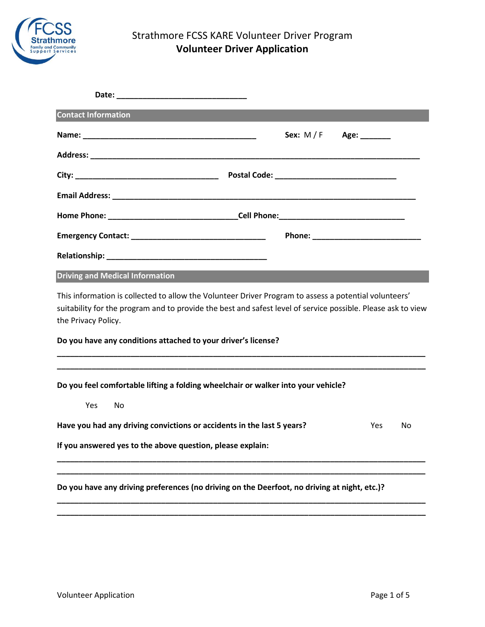

# Strathmore FCSS KARE Volunteer Driver Program **Volunteer Driver Application**

| <b>Contact Information</b>                                                                                                                                                                                                                   |  |  |  |  |  |  |
|----------------------------------------------------------------------------------------------------------------------------------------------------------------------------------------------------------------------------------------------|--|--|--|--|--|--|
| Sex: $M/F$<br>Age: $\frac{1}{2}$                                                                                                                                                                                                             |  |  |  |  |  |  |
|                                                                                                                                                                                                                                              |  |  |  |  |  |  |
|                                                                                                                                                                                                                                              |  |  |  |  |  |  |
|                                                                                                                                                                                                                                              |  |  |  |  |  |  |
|                                                                                                                                                                                                                                              |  |  |  |  |  |  |
|                                                                                                                                                                                                                                              |  |  |  |  |  |  |
|                                                                                                                                                                                                                                              |  |  |  |  |  |  |
| <b>Driving and Medical Information</b>                                                                                                                                                                                                       |  |  |  |  |  |  |
| This information is collected to allow the Volunteer Driver Program to assess a potential volunteers'<br>suitability for the program and to provide the best and safest level of service possible. Please ask to view<br>the Privacy Policy. |  |  |  |  |  |  |
| Do you have any conditions attached to your driver's license?                                                                                                                                                                                |  |  |  |  |  |  |
|                                                                                                                                                                                                                                              |  |  |  |  |  |  |
| Do you feel comfortable lifting a folding wheelchair or walker into your vehicle?                                                                                                                                                            |  |  |  |  |  |  |
| <b>Yes</b><br>No                                                                                                                                                                                                                             |  |  |  |  |  |  |
| Have you had any driving convictions or accidents in the last 5 years?<br><b>Yes</b><br>No                                                                                                                                                   |  |  |  |  |  |  |
| If you answered yes to the above question, please explain:                                                                                                                                                                                   |  |  |  |  |  |  |
|                                                                                                                                                                                                                                              |  |  |  |  |  |  |
| Do you have any driving preferences (no driving on the Deerfoot, no driving at night, etc.)?                                                                                                                                                 |  |  |  |  |  |  |

**\_\_\_\_\_\_\_\_\_\_\_\_\_\_\_\_\_\_\_\_\_\_\_\_\_\_\_\_\_\_\_\_\_\_\_\_\_\_\_\_\_\_\_\_\_\_\_\_\_\_\_\_\_\_\_\_\_\_\_\_\_\_\_\_\_\_\_\_\_\_\_\_\_\_\_\_\_\_\_\_\_\_\_\_\_ \_\_\_\_\_\_\_\_\_\_\_\_\_\_\_\_\_\_\_\_\_\_\_\_\_\_\_\_\_\_\_\_\_\_\_\_\_\_\_\_\_\_\_\_\_\_\_\_\_\_\_\_\_\_\_\_\_\_\_\_\_\_\_\_\_\_\_\_\_\_\_\_\_\_\_\_\_\_\_\_\_\_\_\_\_**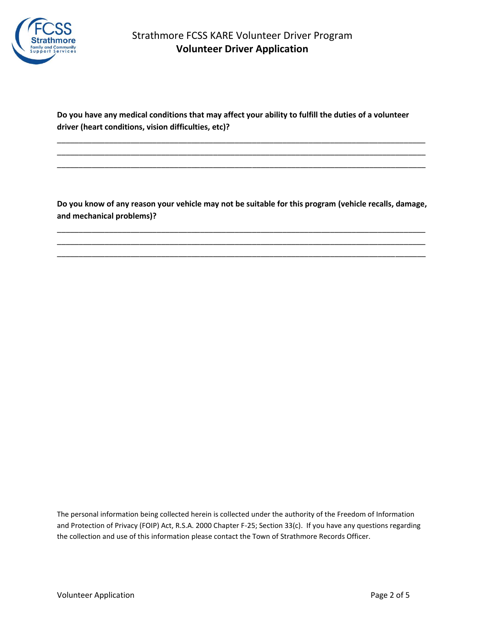

**Do you have any medical conditions that may affect your ability to fulfill the duties of a volunteer driver (heart conditions, vision difficulties, etc)?** 

\_\_\_\_\_\_\_\_\_\_\_\_\_\_\_\_\_\_\_\_\_\_\_\_\_\_\_\_\_\_\_\_\_\_\_\_\_\_\_\_\_\_\_\_\_\_\_\_\_\_\_\_\_\_\_\_\_\_\_\_\_\_\_\_\_\_\_\_\_\_\_\_\_\_\_\_\_\_\_\_\_\_\_\_\_ \_\_\_\_\_\_\_\_\_\_\_\_\_\_\_\_\_\_\_\_\_\_\_\_\_\_\_\_\_\_\_\_\_\_\_\_\_\_\_\_\_\_\_\_\_\_\_\_\_\_\_\_\_\_\_\_\_\_\_\_\_\_\_\_\_\_\_\_\_\_\_\_\_\_\_\_\_\_\_\_\_\_\_\_\_ \_\_\_\_\_\_\_\_\_\_\_\_\_\_\_\_\_\_\_\_\_\_\_\_\_\_\_\_\_\_\_\_\_\_\_\_\_\_\_\_\_\_\_\_\_\_\_\_\_\_\_\_\_\_\_\_\_\_\_\_\_\_\_\_\_\_\_\_\_\_\_\_\_\_\_\_\_\_\_\_\_\_\_\_\_

**Do you know of any reason your vehicle may not be suitable for this program (vehicle recalls, damage, and mechanical problems)?** 

\_\_\_\_\_\_\_\_\_\_\_\_\_\_\_\_\_\_\_\_\_\_\_\_\_\_\_\_\_\_\_\_\_\_\_\_\_\_\_\_\_\_\_\_\_\_\_\_\_\_\_\_\_\_\_\_\_\_\_\_\_\_\_\_\_\_\_\_\_\_\_\_\_\_\_\_\_\_\_\_\_\_\_\_\_ \_\_\_\_\_\_\_\_\_\_\_\_\_\_\_\_\_\_\_\_\_\_\_\_\_\_\_\_\_\_\_\_\_\_\_\_\_\_\_\_\_\_\_\_\_\_\_\_\_\_\_\_\_\_\_\_\_\_\_\_\_\_\_\_\_\_\_\_\_\_\_\_\_\_\_\_\_\_\_\_\_\_\_\_\_ \_\_\_\_\_\_\_\_\_\_\_\_\_\_\_\_\_\_\_\_\_\_\_\_\_\_\_\_\_\_\_\_\_\_\_\_\_\_\_\_\_\_\_\_\_\_\_\_\_\_\_\_\_\_\_\_\_\_\_\_\_\_\_\_\_\_\_\_\_\_\_\_\_\_\_\_\_\_\_\_\_\_\_\_\_

The personal information being collected herein is collected under the authority of the Freedom of Information and Protection of Privacy (FOIP) Act, R.S.A. 2000 Chapter F-25; Section 33(c). If you have any questions regarding the collection and use of this information please contact the Town of Strathmore Records Officer.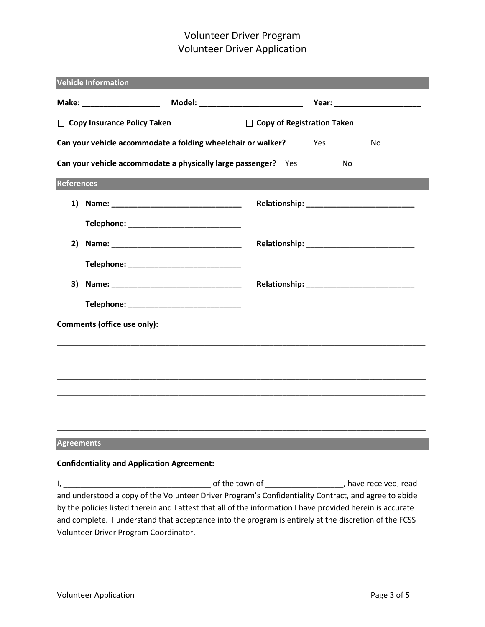# Volunteer Driver Program Volunteer Driver Application

| <b>Vehicle Information</b>                                                       |                                             |  |  |  |  |  |
|----------------------------------------------------------------------------------|---------------------------------------------|--|--|--|--|--|
|                                                                                  |                                             |  |  |  |  |  |
| □ Copy Insurance Policy Taken<br>$\Box$ Copy of Registration Taken               |                                             |  |  |  |  |  |
| Can your vehicle accommodate a folding wheelchair or walker?<br><b>Yes</b><br>No |                                             |  |  |  |  |  |
| Can your vehicle accommodate a physically large passenger? Yes<br>No             |                                             |  |  |  |  |  |
| <b>References</b>                                                                |                                             |  |  |  |  |  |
|                                                                                  |                                             |  |  |  |  |  |
|                                                                                  | Telephone: _____________________________    |  |  |  |  |  |
| 2)                                                                               |                                             |  |  |  |  |  |
|                                                                                  | Telephone: ______________________________   |  |  |  |  |  |
|                                                                                  |                                             |  |  |  |  |  |
|                                                                                  | Telephone: ________________________________ |  |  |  |  |  |
| Comments (office use only):                                                      |                                             |  |  |  |  |  |
|                                                                                  |                                             |  |  |  |  |  |
|                                                                                  |                                             |  |  |  |  |  |
|                                                                                  |                                             |  |  |  |  |  |
|                                                                                  |                                             |  |  |  |  |  |
|                                                                                  |                                             |  |  |  |  |  |
| <b>Agreements</b>                                                                |                                             |  |  |  |  |  |

### **Confidentiality and Application Agreement:**

I, \_\_\_\_\_\_\_\_\_\_\_\_\_\_\_\_\_\_\_\_\_\_\_\_\_\_\_\_\_\_\_\_\_\_ of the town of \_\_\_\_\_\_\_\_\_\_\_\_\_\_\_\_\_\_, have received, read and understood a copy of the Volunteer Driver Program's Confidentiality Contract, and agree to abide by the policies listed therein and I attest that all of the information I have provided herein is accurate and complete. I understand that acceptance into the program is entirely at the discretion of the FCSS Volunteer Driver Program Coordinator.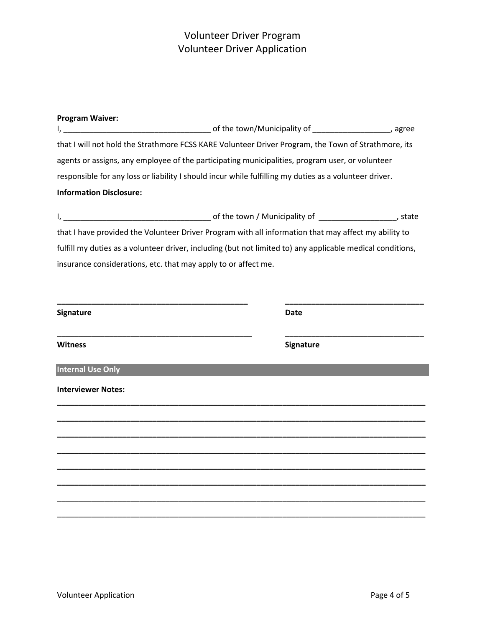# Volunteer Driver Program Volunteer Driver Application

| <b>Program Waiver:</b>                                                                                     |                  |  |  |  |
|------------------------------------------------------------------------------------------------------------|------------------|--|--|--|
| that I will not hold the Strathmore FCSS KARE Volunteer Driver Program, the Town of Strathmore, its        |                  |  |  |  |
| agents or assigns, any employee of the participating municipalities, program user, or volunteer            |                  |  |  |  |
| responsible for any loss or liability I should incur while fulfilling my duties as a volunteer driver.     |                  |  |  |  |
| <b>Information Disclosure:</b>                                                                             |                  |  |  |  |
|                                                                                                            |                  |  |  |  |
| that I have provided the Volunteer Driver Program with all information that may affect my ability to       |                  |  |  |  |
| fulfill my duties as a volunteer driver, including (but not limited to) any applicable medical conditions, |                  |  |  |  |
| insurance considerations, etc. that may apply to or affect me.                                             |                  |  |  |  |
|                                                                                                            |                  |  |  |  |
|                                                                                                            |                  |  |  |  |
| <b>Signature</b>                                                                                           | <b>Date</b>      |  |  |  |
| <b>Witness</b>                                                                                             | <b>Signature</b> |  |  |  |
| <b>Internal Use Only</b>                                                                                   |                  |  |  |  |
| <b>Interviewer Notes:</b>                                                                                  |                  |  |  |  |
|                                                                                                            |                  |  |  |  |
|                                                                                                            |                  |  |  |  |
|                                                                                                            |                  |  |  |  |
|                                                                                                            |                  |  |  |  |
|                                                                                                            |                  |  |  |  |
|                                                                                                            |                  |  |  |  |
|                                                                                                            |                  |  |  |  |